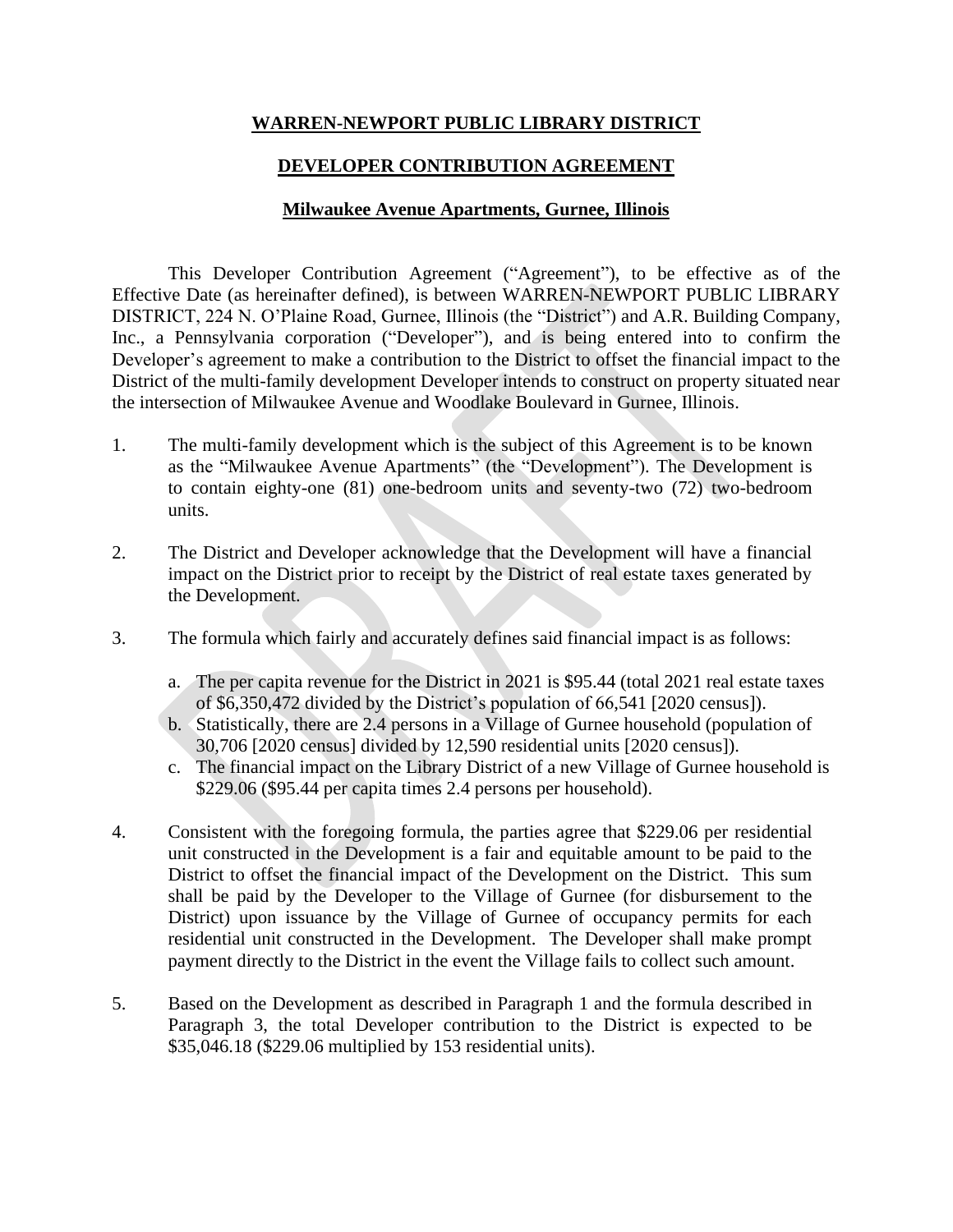## **WARREN-NEWPORT PUBLIC LIBRARY DISTRICT**

## **DEVELOPER CONTRIBUTION AGREEMENT**

### **Milwaukee Avenue Apartments, Gurnee, Illinois**

This Developer Contribution Agreement ("Agreement"), to be effective as of the Effective Date (as hereinafter defined), is between WARREN-NEWPORT PUBLIC LIBRARY DISTRICT, 224 N. O'Plaine Road, Gurnee, Illinois (the "District") and A.R. Building Company, Inc., a Pennsylvania corporation ("Developer"), and is being entered into to confirm the Developer's agreement to make a contribution to the District to offset the financial impact to the District of the multi-family development Developer intends to construct on property situated near the intersection of Milwaukee Avenue and Woodlake Boulevard in Gurnee, Illinois.

- 1. The multi-family development which is the subject of this Agreement is to be known as the "Milwaukee Avenue Apartments" (the "Development"). The Development is to contain eighty-one (81) one-bedroom units and seventy-two (72) two-bedroom units.
- 2. The District and Developer acknowledge that the Development will have a financial impact on the District prior to receipt by the District of real estate taxes generated by the Development.
- 3. The formula which fairly and accurately defines said financial impact is as follows:
	- a. The per capita revenue for the District in 2021 is \$95.44 (total 2021 real estate taxes of \$6,350,472 divided by the District's population of 66,541 [2020 census]).
	- b. Statistically, there are 2.4 persons in a Village of Gurnee household (population of 30,706 [2020 census] divided by 12,590 residential units [2020 census]).
	- c. The financial impact on the Library District of a new Village of Gurnee household is \$229.06 (\$95.44 per capita times 2.4 persons per household).
- 4. Consistent with the foregoing formula, the parties agree that \$229.06 per residential unit constructed in the Development is a fair and equitable amount to be paid to the District to offset the financial impact of the Development on the District. This sum shall be paid by the Developer to the Village of Gurnee (for disbursement to the District) upon issuance by the Village of Gurnee of occupancy permits for each residential unit constructed in the Development. The Developer shall make prompt payment directly to the District in the event the Village fails to collect such amount.
- 5. Based on the Development as described in Paragraph 1 and the formula described in Paragraph 3, the total Developer contribution to the District is expected to be \$35,046.18 (\$229.06 multiplied by 153 residential units).